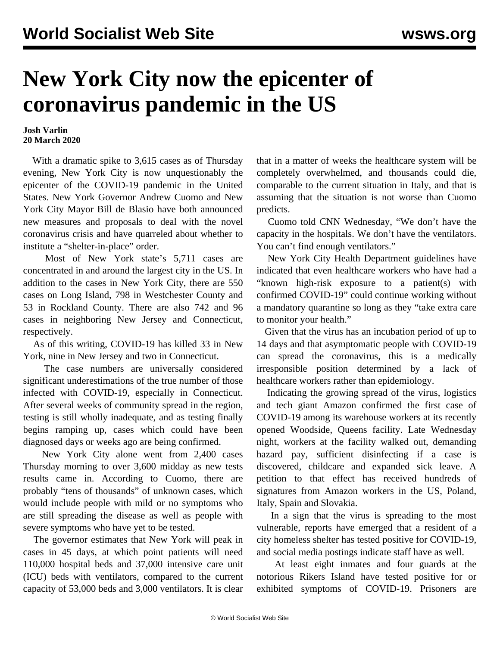## **New York City now the epicenter of coronavirus pandemic in the US**

## **Josh Varlin 20 March 2020**

 With a dramatic spike to 3,615 cases as of Thursday evening, New York City is now unquestionably the epicenter of the COVID-19 pandemic in the United States. New York Governor Andrew Cuomo and New York City Mayor Bill de Blasio have both announced new measures and proposals to deal with the novel coronavirus crisis and have quarreled about whether to institute a "shelter-in-place" order.

 Most of New York state's 5,711 cases are concentrated in and around the largest city in the US. In addition to the cases in New York City, there are 550 cases on Long Island, 798 in Westchester County and 53 in Rockland County. There are also 742 and 96 cases in neighboring New Jersey and Connecticut, respectively.

 As of this writing, COVID-19 has killed 33 in New York, nine in New Jersey and two in Connecticut.

 The case numbers are universally considered significant underestimations of the true number of those infected with COVID-19, especially in Connecticut. After several weeks of community spread in the region, testing is still wholly inadequate, and as testing finally begins ramping up, cases which could have been diagnosed days or weeks ago are being confirmed.

 New York City alone went from 2,400 cases Thursday morning to over 3,600 midday as new tests results came in. According to Cuomo, there are probably "tens of thousands" of unknown cases, which would include people with mild or no symptoms who are still spreading the disease as well as people with severe symptoms who have yet to be tested.

 The governor estimates that New York will peak in cases in 45 days, at which point patients will need 110,000 hospital beds and 37,000 intensive care unit (ICU) beds with ventilators, compared to the current capacity of 53,000 beds and 3,000 ventilators. It is clear

that in a matter of weeks the healthcare system will be completely overwhelmed, and thousands could die, comparable to the current situation in Italy, and that is assuming that the situation is not worse than Cuomo predicts.

 Cuomo told CNN Wednesday, "We don't have the capacity in the hospitals. We don't have the ventilators. You can't find enough ventilators."

 New York City Health Department guidelines have indicated that even healthcare workers who have had a "known high-risk exposure to a patient(s) with confirmed COVID-19" could continue working without a mandatory quarantine so long as they "take extra care to monitor your health."

 Given that the virus has an incubation period of up to 14 days and that asymptomatic people with COVID-19 can spread the coronavirus, this is a medically irresponsible position determined by a lack of healthcare workers rather than epidemiology.

 Indicating the growing spread of the virus, logistics and tech giant Amazon confirmed the first case of COVID-19 among its warehouse workers at its recently opened Woodside, Queens facility. Late Wednesday night, workers at the facility walked out, demanding hazard pay, sufficient disinfecting if a case is discovered, childcare and expanded sick leave. A petition to that effect has received hundreds of signatures from Amazon workers in the US, Poland, Italy, Spain and Slovakia.

 In a sign that the virus is spreading to the most vulnerable, reports have emerged that a resident of a city homeless shelter has tested positive for COVID-19, and social media postings indicate staff have as well.

 At least eight inmates and four guards at the notorious Rikers Island have tested positive for or exhibited symptoms of COVID-19. Prisoners are